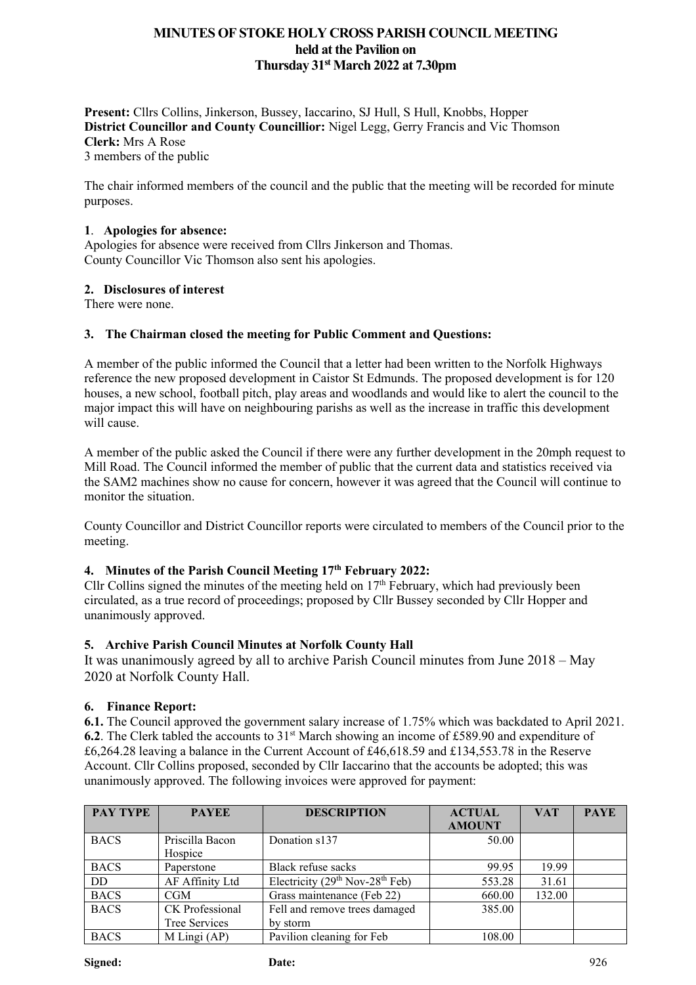**Present:** Cllrs Collins, Jinkerson, Bussey, Iaccarino, SJ Hull, S Hull, Knobbs, Hopper **District Councillor and County Councillior:** Nigel Legg, Gerry Francis and Vic Thomson **Clerk:** Mrs A Rose

3 members of the public

The chair informed members of the council and the public that the meeting will be recorded for minute purposes.

### **1**. **Apologies for absence:**

Apologies for absence were received from Cllrs Jinkerson and Thomas. County Councillor Vic Thomson also sent his apologies.

### **2. Disclosures of interest**

There were none.

### **3. The Chairman closed the meeting for Public Comment and Questions:**

A member of the public informed the Council that a letter had been written to the Norfolk Highways reference the new proposed development in Caistor St Edmunds. The proposed development is for 120 houses, a new school, football pitch, play areas and woodlands and would like to alert the council to the major impact this will have on neighbouring parishs as well as the increase in traffic this development will cause.

A member of the public asked the Council if there were any further development in the 20mph request to Mill Road. The Council informed the member of public that the current data and statistics received via the SAM2 machines show no cause for concern, however it was agreed that the Council will continue to monitor the situation.

County Councillor and District Councillor reports were circulated to members of the Council prior to the meeting.

#### **4. Minutes of the Parish Council Meeting 17th February 2022:**

Cllr Collins signed the minutes of the meeting held on  $17<sup>th</sup>$  February, which had previously been circulated, as a true record of proceedings; proposed by Cllr Bussey seconded by Cllr Hopper and unanimously approved.

#### **5. Archive Parish Council Minutes at Norfolk County Hall**

It was unanimously agreed by all to archive Parish Council minutes from June 2018 – May 2020 at Norfolk County Hall.

#### **6. Finance Report:**

**6.1.** The Council approved the government salary increase of 1.75% which was backdated to April 2021. **6.2**. The Clerk tabled the accounts to 31<sup>st</sup> March showing an income of £589.90 and expenditure of £6,264.28 leaving a balance in the Current Account of £46,618.59 and £134,553.78 in the Reserve Account. Cllr Collins proposed, seconded by Cllr Iaccarino that the accounts be adopted; this was unanimously approved. The following invoices were approved for payment:

| <b>PAY TYPE</b> | <b>PAYEE</b>    | <b>DESCRIPTION</b>                    | <b>ACTUAL</b> | <b>VAT</b> | <b>PAYE</b> |
|-----------------|-----------------|---------------------------------------|---------------|------------|-------------|
|                 |                 |                                       | <b>AMOUNT</b> |            |             |
| <b>BACS</b>     | Priscilla Bacon | Donation s137                         | 50.00         |            |             |
|                 | Hospice         |                                       |               |            |             |
| <b>BACS</b>     | Paperstone      | Black refuse sacks                    | 99.95         | 19.99      |             |
| DD              | AF Affinity Ltd | Electricity ( $29th$ Nov- $28th$ Feb) | 553.28        | 31.61      |             |
| <b>BACS</b>     | <b>CGM</b>      | Grass maintenance (Feb 22)            | 660.00        | 132.00     |             |
| <b>BACS</b>     | CK Professional | Fell and remove trees damaged         | 385.00        |            |             |
|                 | Tree Services   | by storm                              |               |            |             |
| <b>BACS</b>     | M Lingi (AP)    | Pavilion cleaning for Feb             | 108.00        |            |             |

**Signed: Date:** 926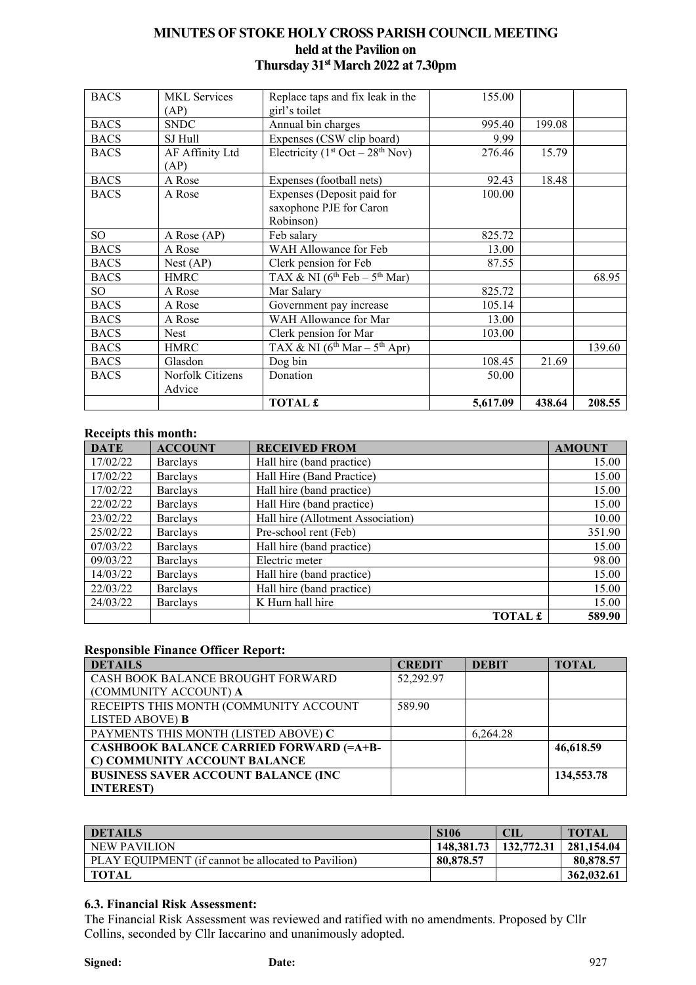|             |                         | <b>TOTAL £</b>                                | 5,617.09 | 438.64 | 208.55 |
|-------------|-------------------------|-----------------------------------------------|----------|--------|--------|
|             | Advice                  |                                               |          |        |        |
| <b>BACS</b> | Norfolk Citizens        | Donation                                      | 50.00    |        |        |
| <b>BACS</b> | Glasdon                 | Dog bin                                       | 108.45   | 21.69  |        |
| <b>BACS</b> | <b>HMRC</b>             | TAX & NI $(6^{th}$ Mar – $5^{th}$ Apr)        |          |        | 139.60 |
| <b>BACS</b> | Nest                    | Clerk pension for Mar                         | 103.00   |        |        |
| <b>BACS</b> | A Rose                  | WAH Allowance for Mar                         | 13.00    |        |        |
| <b>BACS</b> | A Rose                  | Government pay increase                       | 105.14   |        |        |
| SO          | A Rose                  | Mar Salary                                    | 825.72   |        |        |
| <b>BACS</b> | <b>HMRC</b>             | TAX & NI $(6^{th}$ Feb – 5 <sup>th</sup> Mar) |          |        | 68.95  |
| <b>BACS</b> | Nest (AP)               | Clerk pension for Feb                         | 87.55    |        |        |
| <b>BACS</b> | A Rose                  | WAH Allowance for Feb                         | 13.00    |        |        |
| SO          | A Rose (AP)             | Feb salary                                    | 825.72   |        |        |
|             |                         | saxophone PJE for Caron<br>Robinson)          |          |        |        |
| <b>BACS</b> | A Rose                  | Expenses (Deposit paid for                    | 100.00   |        |        |
| <b>BACS</b> | A Rose                  | Expenses (football nets)                      | 92.43    | 18.48  |        |
| <b>BACS</b> | AF Affinity Ltd<br>(AP) | Electricity ( $1st Oct - 28th Nov$ )          | 276.46   | 15.79  |        |
| <b>BACS</b> | SJ Hull                 | Expenses (CSW clip board)                     | 9.99     |        |        |
| <b>BACS</b> | <b>SNDC</b>             | Annual bin charges                            | 995.40   | 199.08 |        |
|             | (AP)                    | girl's toilet                                 |          |        |        |
| <b>BACS</b> | <b>MKL</b> Services     | Replace taps and fix leak in the              | 155.00   |        |        |

### **Receipts this month:**

| <b>DATE</b> | <b>ACCOUNT</b>  | <b>RECEIVED FROM</b>              | <b>AMOUNT</b> |
|-------------|-----------------|-----------------------------------|---------------|
| 17/02/22    | <b>Barclays</b> | Hall hire (band practice)         | 15.00         |
| 17/02/22    | <b>Barclays</b> | Hall Hire (Band Practice)         | 15.00         |
| 17/02/22    | <b>Barclays</b> | Hall hire (band practice)         | 15.00         |
| 22/02/22    | <b>Barclays</b> | Hall Hire (band practice)         | 15.00         |
| 23/02/22    | <b>Barclays</b> | Hall hire (Allotment Association) | 10.00         |
| 25/02/22    | <b>Barclays</b> | Pre-school rent (Feb)             | 351.90        |
| 07/03/22    | <b>Barclays</b> | Hall hire (band practice)         | 15.00         |
| 09/03/22    | <b>Barclays</b> | Electric meter                    | 98.00         |
| 14/03/22    | <b>Barclays</b> | Hall hire (band practice)         | 15.00         |
| 22/03/22    | <b>Barclays</b> | Hall hire (band practice)         | 15.00         |
| 24/03/22    | <b>Barclays</b> | K Hurn hall hire                  | 15.00         |
|             |                 | <b>TOTAL £</b>                    | 589.90        |

### **Responsible Finance Officer Report:**

| <b>DETAILS</b>                                 | <b>CREDIT</b> | <b>DEBIT</b> | <b>TOTAL</b> |
|------------------------------------------------|---------------|--------------|--------------|
| CASH BOOK BALANCE BROUGHT FORWARD              | 52,292.97     |              |              |
| (COMMUNITY ACCOUNT) A                          |               |              |              |
| RECEIPTS THIS MONTH (COMMUNITY ACCOUNT         | 589.90        |              |              |
| <b>LISTED ABOVE) B</b>                         |               |              |              |
| PAYMENTS THIS MONTH (LISTED ABOVE) C           |               | 6,264.28     |              |
| <b>CASHBOOK BALANCE CARRIED FORWARD (=A+B-</b> |               |              | 46,618.59    |
| C) COMMUNITY ACCOUNT BALANCE                   |               |              |              |
| <b>BUSINESS SAVER ACCOUNT BALANCE (INC</b>     |               |              | 134,553.78   |
| <b>INTEREST)</b>                               |               |              |              |

| <b>DETAILS</b>                                      | <b>S106</b> | CH)        | <b>TOTAL</b> |
|-----------------------------------------------------|-------------|------------|--------------|
| <b>NEW PAVILION</b>                                 | 148.381.73  | 132,772.31 | 281,154.04   |
| PLAY EQUIPMENT (if cannot be allocated to Pavilion) | 80,878,57   |            | 80,878.57    |
| TOTAL                                               |             |            | 362,032.61   |

#### **6.3. Financial Risk Assessment:**

The Financial Risk Assessment was reviewed and ratified with no amendments. Proposed by Cllr Collins, seconded by Cllr Iaccarino and unanimously adopted.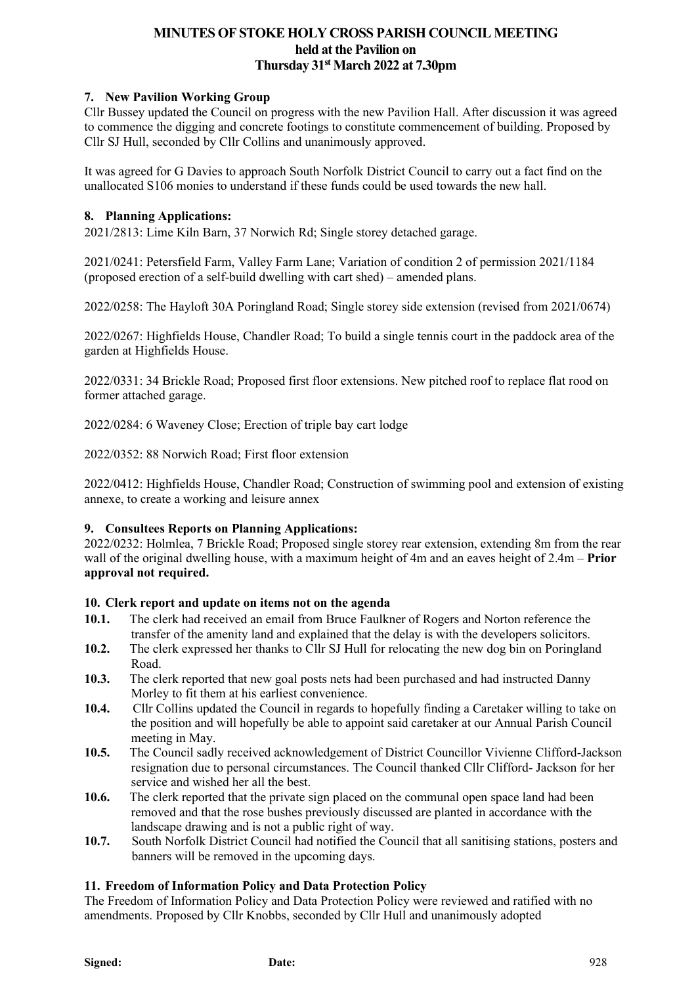# **7. New Pavilion Working Group**

Cllr Bussey updated the Council on progress with the new Pavilion Hall. After discussion it was agreed to commence the digging and concrete footings to constitute commencement of building. Proposed by Cllr SJ Hull, seconded by Cllr Collins and unanimously approved.

It was agreed for G Davies to approach South Norfolk District Council to carry out a fact find on the unallocated S106 monies to understand if these funds could be used towards the new hall.

# **8. Planning Applications:**

2021/2813: Lime Kiln Barn, 37 Norwich Rd; Single storey detached garage.

2021/0241: Petersfield Farm, Valley Farm Lane; Variation of condition 2 of permission 2021/1184 (proposed erection of a self-build dwelling with cart shed) – amended plans.

2022/0258: The Hayloft 30A Poringland Road; Single storey side extension (revised from 2021/0674)

2022/0267: Highfields House, Chandler Road; To build a single tennis court in the paddock area of the garden at Highfields House.

2022/0331: 34 Brickle Road; Proposed first floor extensions. New pitched roof to replace flat rood on former attached garage.

2022/0284: 6 Waveney Close; Erection of triple bay cart lodge

2022/0352: 88 Norwich Road; First floor extension

2022/0412: Highfields House, Chandler Road; Construction of swimming pool and extension of existing annexe, to create a working and leisure annex

# **9. Consultees Reports on Planning Applications:**

2022/0232: Holmlea, 7 Brickle Road; Proposed single storey rear extension, extending 8m from the rear wall of the original dwelling house, with a maximum height of 4m and an eaves height of 2.4m – **Prior approval not required.**

# **10. Clerk report and update on items not on the agenda**

- **10.1.** The clerk had received an email from Bruce Faulkner of Rogers and Norton reference the transfer of the amenity land and explained that the delay is with the developers solicitors.
- **10.2.** The clerk expressed her thanks to Cllr SJ Hull for relocating the new dog bin on Poringland Road.
- **10.3.** The clerk reported that new goal posts nets had been purchased and had instructed Danny Morley to fit them at his earliest convenience.
- **10.4.** Cllr Collins updated the Council in regards to hopefully finding a Caretaker willing to take on the position and will hopefully be able to appoint said caretaker at our Annual Parish Council meeting in May.<br>10.5. The Council sadl
- **10.5.** The Council sadly received acknowledgement of District Councillor Vivienne Clifford-Jackson resignation due to personal circumstances. The Council thanked Cllr Clifford- Jackson for her service and wished her all the best.
- **10.6.** The clerk reported that the private sign placed on the communal open space land had been removed and that the rose bushes previously discussed are planted in accordance with the landscape drawing and is not a public right of way.
- **10.7.** South Norfolk District Council had notified the Council that all sanitising stations, posters and banners will be removed in the upcoming days.

# **11. Freedom of Information Policy and Data Protection Policy**

The Freedom of Information Policy and Data Protection Policy were reviewed and ratified with no amendments. Proposed by Cllr Knobbs, seconded by Cllr Hull and unanimously adopted